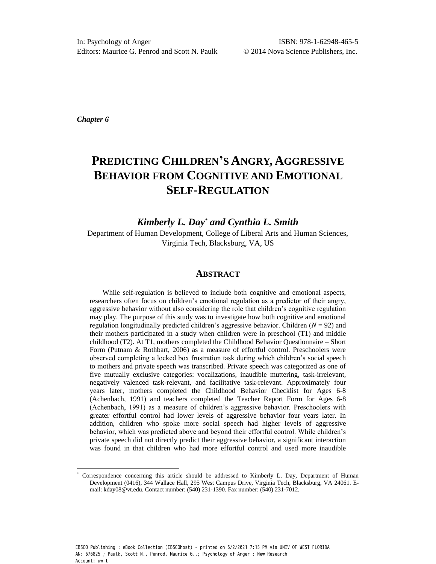*Chapter 6* 

# **PREDICTING CHILDREN'S ANGRY, AGGRESSIVE BEHAVIOR FROM COGNITIVE AND EMOTIONAL SELF-REGULATION**

*Kimberly L. Day\* and Cynthia L. Smith* 

Department of Human Development, College of Liberal Arts and Human Sciences, Virginia Tech, Blacksburg, VA, US

# **ABSTRACT**

While self-regulation is believed to include both cognitive and emotional aspects, researchers often focus on children's emotional regulation as a predictor of their angry, aggressive behavior without also considering the role that children's cognitive regulation may play. The purpose of this study was to investigate how both cognitive and emotional regulation longitudinally predicted children's aggressive behavior. Children  $(N = 92)$  and their mothers participated in a study when children were in preschool (T1) and middle childhood (T2). At T1, mothers completed the Childhood Behavior Questionnaire – Short Form (Putnam & Rothbart, 2006) as a measure of effortful control. Preschoolers were observed completing a locked box frustration task during which children's social speech to mothers and private speech was transcribed. Private speech was categorized as one of five mutually exclusive categories: vocalizations, inaudible muttering, task-irrelevant, negatively valenced task-relevant, and facilitative task-relevant. Approximately four years later, mothers completed the Childhood Behavior Checklist for Ages 6-8 (Achenbach, 1991) and teachers completed the Teacher Report Form for Ages 6-8 (Achenbach, 1991) as a measure of children's aggressive behavior. Preschoolers with greater effortful control had lower levels of aggressive behavior four years later. In addition, children who spoke more social speech had higher levels of aggressive behavior, which was predicted above and beyond their effortful control. While children's private speech did not directly predict their aggressive behavior, a significant interaction was found in that children who had more effortful control and used more inaudible

Correspondence concerning this article should be addressed to Kimberly L. Day, Department of Human Development (0416), 344 Wallace Hall, 295 West Campus Drive, Virginia Tech, Blacksburg, VA 24061. Email: kday08@vt.edu. Contact number: (540) 231-1390. Fax number: (540) 231-7012.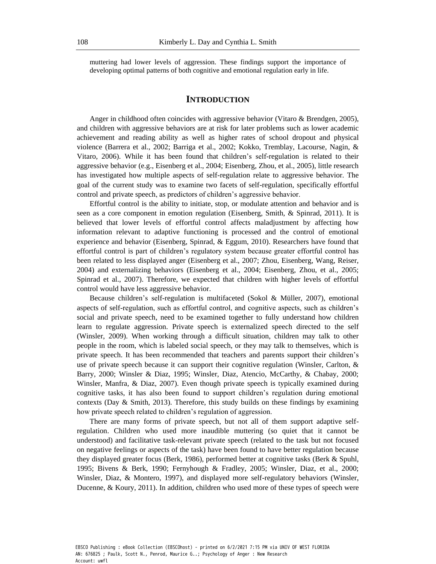muttering had lower levels of aggression. These findings support the importance of developing optimal patterns of both cognitive and emotional regulation early in life.

## **INTRODUCTION**

Anger in childhood often coincides with aggressive behavior (Vitaro  $\&$  Brendgen, 2005), and children with aggressive behaviors are at risk for later problems such as lower academic achievement and reading ability as well as higher rates of school dropout and physical violence (Barrera et al., 2002; Barriga et al., 2002; Kokko, Tremblay, Lacourse, Nagin, & Vitaro, 2006). While it has been found that children's self-regulation is related to their aggressive behavior (e.g., Eisenberg et al., 2004; Eisenberg, Zhou, et al., 2005), little research has investigated how multiple aspects of self-regulation relate to aggressive behavior. The goal of the current study was to examine two facets of self-regulation, specifically effortful control and private speech, as predictors of children's aggressive behavior.

Effortful control is the ability to initiate, stop, or modulate attention and behavior and is seen as a core component in emotion regulation (Eisenberg, Smith, & Spinrad, 2011). It is believed that lower levels of effortful control affects maladjustment by affecting how information relevant to adaptive functioning is processed and the control of emotional experience and behavior (Eisenberg, Spinrad, & Eggum, 2010). Researchers have found that effortful control is part of children's regulatory system because greater effortful control has been related to less displayed anger (Eisenberg et al., 2007; Zhou, Eisenberg, Wang, Reiser, 2004) and externalizing behaviors (Eisenberg et al., 2004; Eisenberg, Zhou, et al., 2005; Spinrad et al., 2007). Therefore, we expected that children with higher levels of effortful control would have less aggressive behavior.

Because children's self-regulation is multifaceted (Sokol & Müller, 2007), emotional aspects of self-regulation, such as effortful control, and cognitive aspects, such as children's social and private speech, need to be examined together to fully understand how children learn to regulate aggression. Private speech is externalized speech directed to the self (Winsler, 2009). When working through a difficult situation, children may talk to other people in the room, which is labeled social speech, or they may talk to themselves, which is private speech. It has been recommended that teachers and parents support their children's use of private speech because it can support their cognitive regulation (Winsler, Carlton, & Barry, 2000; Winsler & Diaz, 1995; Winsler, Diaz, Atencio, McCarthy, & Chabay, 2000; Winsler, Manfra, & Diaz, 2007). Even though private speech is typically examined during cognitive tasks, it has also been found to support children's regulation during emotional contexts (Day  $\&$  Smith, 2013). Therefore, this study builds on these findings by examining how private speech related to children's regulation of aggression.

There are many forms of private speech, but not all of them support adaptive selfregulation. Children who used more inaudible muttering (so quiet that it cannot be understood) and facilitative task-relevant private speech (related to the task but not focused on negative feelings or aspects of the task) have been found to have better regulation because they displayed greater focus (Berk, 1986), performed better at cognitive tasks (Berk & Spuhl, 1995; Bivens & Berk, 1990; Fernyhough & Fradley, 2005; Winsler, Diaz, et al., 2000; Winsler, Diaz, & Montero, 1997), and displayed more self-regulatory behaviors (Winsler, Ducenne, & Koury, 2011). In addition, children who used more of these types of speech were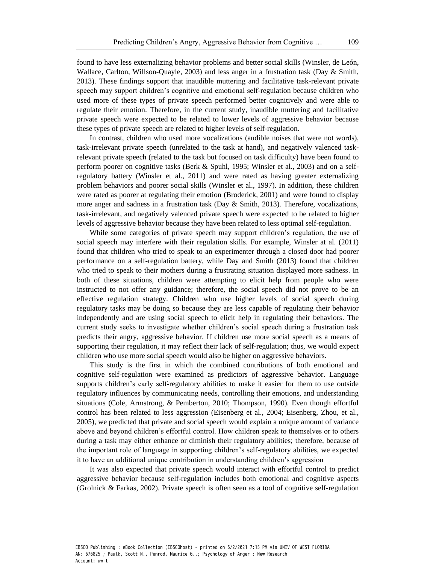found to have less externalizing behavior problems and better social skills (Winsler, de León, Wallace, Carlton, Willson-Quayle, 2003) and less anger in a frustration task (Day & Smith, 2013). These findings support that inaudible muttering and facilitative task-relevant private speech may support children's cognitive and emotional self-regulation because children who used more of these types of private speech performed better cognitively and were able to regulate their emotion. Therefore, in the current study, inaudible muttering and facilitative private speech were expected to be related to lower levels of aggressive behavior because these types of private speech are related to higher levels of self-regulation.

In contrast, children who used more vocalizations (audible noises that were not words), task-irrelevant private speech (unrelated to the task at hand), and negatively valenced taskrelevant private speech (related to the task but focused on task difficulty) have been found to perform poorer on cognitive tasks (Berk & Spuhl, 1995; Winsler et al., 2003) and on a selfregulatory battery (Winsler et al., 2011) and were rated as having greater externalizing problem behaviors and poorer social skills (Winsler et al., 1997). In addition, these children were rated as poorer at regulating their emotion (Broderick, 2001) and were found to display more anger and sadness in a frustration task (Day & Smith, 2013). Therefore, vocalizations, task-irrelevant, and negatively valenced private speech were expected to be related to higher levels of aggressive behavior because they have been related to less optimal self-regulation.

While some categories of private speech may support children's regulation, the use of social speech may interfere with their regulation skills. For example, Winsler at al. (2011) found that children who tried to speak to an experimenter through a closed door had poorer performance on a self-regulation battery, while Day and Smith (2013) found that children who tried to speak to their mothers during a frustrating situation displayed more sadness. In both of these situations, children were attempting to elicit help from people who were instructed to not offer any guidance; therefore, the social speech did not prove to be an effective regulation strategy. Children who use higher levels of social speech during regulatory tasks may be doing so because they are less capable of regulating their behavior independently and are using social speech to elicit help in regulating their behaviors. The current study seeks to investigate whether children's social speech during a frustration task predicts their angry, aggressive behavior. If children use more social speech as a means of supporting their regulation, it may reflect their lack of self-regulation; thus, we would expect children who use more social speech would also be higher on aggressive behaviors.

This study is the first in which the combined contributions of both emotional and cognitive self-regulation were examined as predictors of aggressive behavior. Language supports children's early self-regulatory abilities to make it easier for them to use outside regulatory influences by communicating needs, controlling their emotions, and understanding situations (Cole, Armstrong, & Pemberton, 2010; Thompson, 1990). Even though effortful control has been related to less aggression (Eisenberg et al., 2004; Eisenberg, Zhou, et al., 2005), we predicted that private and social speech would explain a unique amount of variance above and beyond children's effortful control. How children speak to themselves or to others during a task may either enhance or diminish their regulatory abilities; therefore, because of the important role of language in supporting children's self-regulatory abilities, we expected it to have an additional unique contribution in understanding children's aggression

It was also expected that private speech would interact with effortful control to predict aggressive behavior because self-regulation includes both emotional and cognitive aspects (Grolnick & Farkas, 2002). Private speech is often seen as a tool of cognitive self-regulation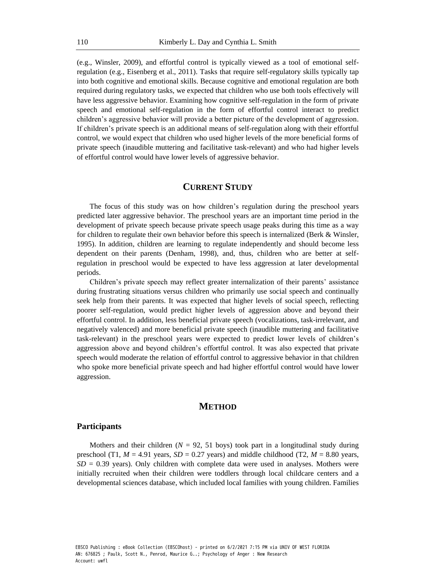(e.g., Winsler, 2009), and effortful control is typically viewed as a tool of emotional selfregulation (e.g., Eisenberg et al., 2011). Tasks that require self-regulatory skills typically tap into both cognitive and emotional skills. Because cognitive and emotional regulation are both required during regulatory tasks, we expected that children who use both tools effectively will have less aggressive behavior. Examining how cognitive self-regulation in the form of private speech and emotional self-regulation in the form of effortful control interact to predict children's aggressive behavior will provide a better picture of the development of aggression. If children's private speech is an additional means of self-regulation along with their effortful control, we would expect that children who used higher levels of the more beneficial forms of private speech (inaudible muttering and facilitative task-relevant) and who had higher levels of effortful control would have lower levels of aggressive behavior.

# **CURRENT STUDY**

The focus of this study was on how children's regulation during the preschool years predicted later aggressive behavior. The preschool years are an important time period in the development of private speech because private speech usage peaks during this time as a way for children to regulate their own behavior before this speech is internalized (Berk & Winsler, 1995). In addition, children are learning to regulate independently and should become less dependent on their parents (Denham, 1998), and, thus, children who are better at selfregulation in preschool would be expected to have less aggression at later developmental periods.

Children's private speech may reflect greater internalization of their parents' assistance during frustrating situations versus children who primarily use social speech and continually seek help from their parents. It was expected that higher levels of social speech, reflecting poorer self-regulation, would predict higher levels of aggression above and beyond their effortful control. In addition, less beneficial private speech (vocalizations, task-irrelevant, and negatively valenced) and more beneficial private speech (inaudible muttering and facilitative task-relevant) in the preschool years were expected to predict lower levels of children's aggression above and beyond children's effortful control. It was also expected that private speech would moderate the relation of effortful control to aggressive behavior in that children who spoke more beneficial private speech and had higher effortful control would have lower aggression.

# **METHOD**

#### **Participants**

Mothers and their children  $(N = 92, 51$  boys) took part in a longitudinal study during preschool (T1,  $M = 4.91$  years,  $SD = 0.27$  years) and middle childhood (T2,  $M = 8.80$  years,  $SD = 0.39$  years). Only children with complete data were used in analyses. Mothers were initially recruited when their children were toddlers through local childcare centers and a developmental sciences database, which included local families with young children. Families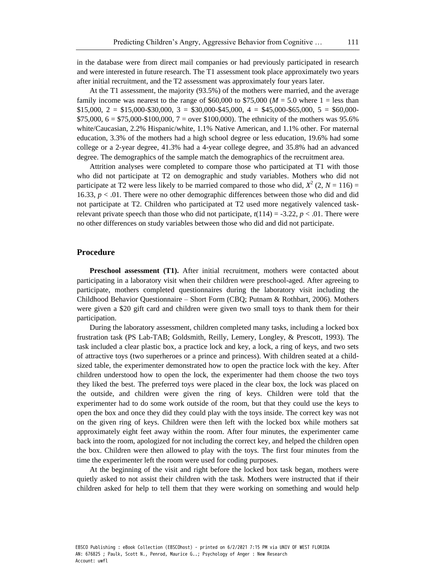in the database were from direct mail companies or had previously participated in research and were interested in future research. The T1 assessment took place approximately two years after initial recruitment, and the T2 assessment was approximately four years later.

At the T1 assessment, the majority (93.5%) of the mothers were married, and the average family income was nearest to the range of  $$60,000$  to  $$75,000$  ( $M = 5.0$  where 1 = less than  $$15,000, 2 = $15,000-$30,000, 3 = $30,000-$45,000, 4 = $45,000-$65,000, 5 = $60,000 $75,000, 6 = $75,000-S100,000, 7 = over $100,000$ . The ethnicity of the mothers was 95.6% white/Caucasian, 2.2% Hispanic/white, 1.1% Native American, and 1.1% other. For maternal education, 3.3% of the mothers had a high school degree or less education, 19.6% had some college or a 2-year degree, 41.3% had a 4-year college degree, and 35.8% had an advanced degree. The demographics of the sample match the demographics of the recruitment area.

Attrition analyses were completed to compare those who participated at T1 with those who did not participate at T2 on demographic and study variables. Mothers who did not participate at T2 were less likely to be married compared to those who did,  $X^2$  (2,  $N = 116$ ) = 16.33,  $p < 0.01$ . There were no other demographic differences between those who did and did not participate at T2. Children who participated at T2 used more negatively valenced taskrelevant private speech than those who did not participate,  $t(114) = -3.22$ ,  $p < .01$ . There were no other differences on study variables between those who did and did not participate.

## **Procedure**

**Preschool assessment (T1).** After initial recruitment, mothers were contacted about participating in a laboratory visit when their children were preschool-aged. After agreeing to participate, mothers completed questionnaires during the laboratory visit including the Childhood Behavior Questionnaire – Short Form (CBQ; Putnam & Rothbart, 2006). Mothers were given a \$20 gift card and children were given two small toys to thank them for their participation.

During the laboratory assessment, children completed many tasks, including a locked box frustration task (PS Lab-TAB; Goldsmith, Reilly, Lemery, Longley, & Prescott, 1993). The task included a clear plastic box, a practice lock and key, a lock, a ring of keys, and two sets of attractive toys (two superheroes or a prince and princess). With children seated at a childsized table, the experimenter demonstrated how to open the practice lock with the key. After children understood how to open the lock, the experimenter had them choose the two toys they liked the best. The preferred toys were placed in the clear box, the lock was placed on the outside, and children were given the ring of keys. Children were told that the experimenter had to do some work outside of the room, but that they could use the keys to open the box and once they did they could play with the toys inside. The correct key was not on the given ring of keys. Children were then left with the locked box while mothers sat approximately eight feet away within the room. After four minutes, the experimenter came back into the room, apologized for not including the correct key, and helped the children open the box. Children were then allowed to play with the toys. The first four minutes from the time the experimenter left the room were used for coding purposes.

At the beginning of the visit and right before the locked box task began, mothers were quietly asked to not assist their children with the task. Mothers were instructed that if their children asked for help to tell them that they were working on something and would help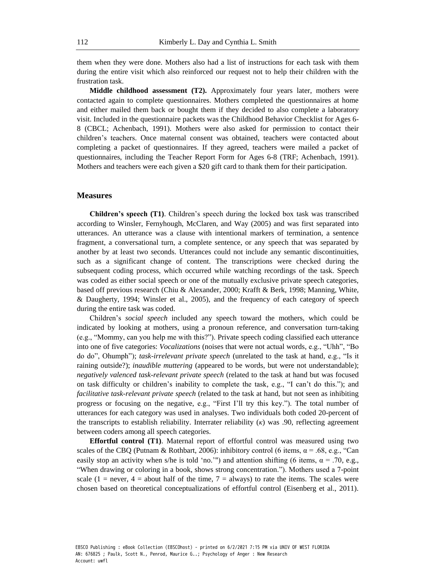them when they were done. Mothers also had a list of instructions for each task with them during the entire visit which also reinforced our request not to help their children with the frustration task.

**Middle childhood assessment (T2).** Approximately four years later, mothers were contacted again to complete questionnaires. Mothers completed the questionnaires at home and either mailed them back or bought them if they decided to also complete a laboratory visit. Included in the questionnaire packets was the Childhood Behavior Checklist for Ages 6- 8 (CBCL; Achenbach, 1991). Mothers were also asked for permission to contact their children's teachers. Once maternal consent was obtained, teachers were contacted about completing a packet of questionnaires. If they agreed, teachers were mailed a packet of questionnaires, including the Teacher Report Form for Ages 6-8 (TRF; Achenbach, 1991). Mothers and teachers were each given a \$20 gift card to thank them for their participation.

#### **Measures**

**Children's speech (T1)**. Children's speech during the locked box task was transcribed according to Winsler, Fernyhough, McClaren, and Way (2005) and was first separated into utterances. An utterance was a clause with intentional markers of termination, a sentence fragment, a conversational turn, a complete sentence, or any speech that was separated by another by at least two seconds. Utterances could not include any semantic discontinuities, such as a significant change of content. The transcriptions were checked during the subsequent coding process, which occurred while watching recordings of the task. Speech was coded as either social speech or one of the mutually exclusive private speech categories, based off previous research (Chiu & Alexander, 2000; Krafft & Berk, 1998; Manning, White, & Daugherty, 1994; Winsler et al., 2005), and the frequency of each category of speech during the entire task was coded.

Children's *social speech* included any speech toward the mothers, which could be indicated by looking at mothers, using a pronoun reference, and conversation turn-taking (e.g., "Mommy, can you help me with this?"). Private speech coding classified each utterance into one of five categories: *Vocalizations* (noises that were not actual words, e.g., "Uhh", "Bo do do", Ohumph"); *task-irrelevant private speech* (unrelated to the task at hand, e.g., "Is it raining outside?); *inaudible muttering* (appeared to be words, but were not understandable); *negatively valenced task-relevant private speech* (related to the task at hand but was focused on task difficulty or children's inability to complete the task, e.g., "I can't do this."); and *facilitative task-relevant private speech* (related to the task at hand, but not seen as inhibiting progress or focusing on the negative, e.g., "First I'll try this key."). The total number of utterances for each category was used in analyses. Two individuals both coded 20-percent of the transcripts to establish reliability. Interrater reliability (*κ*) was .90, reflecting agreement between coders among all speech categories.

**Effortful control (T1)**. Maternal report of effortful control was measured using two scales of the CBQ (Putnam & Rothbart, 2006): inhibitory control (6 items,  $\alpha$  = .68, e.g., "Can easily stop an activity when s/he is told 'no.'") and attention shifting (6 items,  $\alpha$  = .70, e.g., "When drawing or coloring in a book, shows strong concentration."). Mothers used a 7-point scale (1 = never, 4 = about half of the time, 7 = always) to rate the items. The scales were chosen based on theoretical conceptualizations of effortful control (Eisenberg et al., 2011).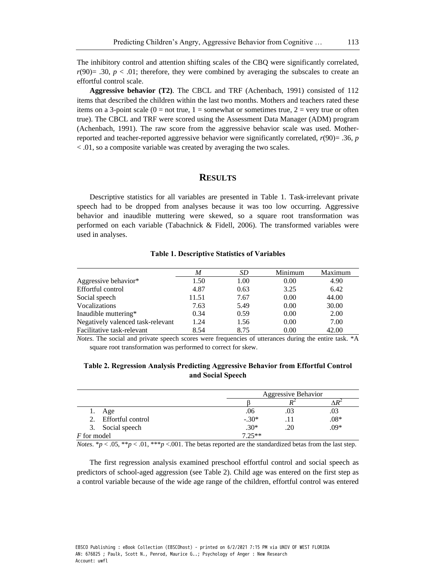The inhibitory control and attention shifting scales of the CBQ were significantly correlated,  $r(90)$ = .30,  $p < .01$ ; therefore, they were combined by averaging the subscales to create an effortful control scale.

**Aggressive behavior (T2)**. The CBCL and TRF (Achenbach, 1991) consisted of 112 items that described the children within the last two months. Mothers and teachers rated these items on a 3-point scale  $(0 = not true, 1 = somewhat or sometimes true, 2 = very true or often$ true). The CBCL and TRF were scored using the Assessment Data Manager (ADM) program (Achenbach, 1991). The raw score from the aggressive behavior scale was used. Motherreported and teacher-reported aggressive behavior were significantly correlated, *r*(90)= .36, *p* < .01, so a composite variable was created by averaging the two scales.

# **RESULTS**

Descriptive statistics for all variables are presented in Table 1. Task-irrelevant private speech had to be dropped from analyses because it was too low occurring. Aggressive behavior and inaudible muttering were skewed, so a square root transformation was performed on each variable (Tabachnick & Fidell, 2006). The transformed variables were used in analyses.

|                                   | M     | SD   | Minimum | Maximum |
|-----------------------------------|-------|------|---------|---------|
| Aggressive behavior*              | 1.50  | 1.00 | 0.00    | 4.90    |
| Effortful control                 | 4.87  | 0.63 | 3.25    | 6.42    |
| Social speech                     | 11.51 | 7.67 | 0.00    | 44.00   |
| Vocalizations                     | 7.63  | 5.49 | 0.00    | 30.00   |
| Inaudible muttering*              | 0.34  | 0.59 | 0.00    | 2.00    |
| Negatively valenced task-relevant | 1.24  | 1.56 | 0.00    | 7.00    |
| Facilitative task-relevant        | 8.54  | 8.75 | 0.00    | 42.00   |

**Table 1. Descriptive Statistics of Variables** 

*Notes*. The social and private speech scores were frequencies of utterances during the entire task. \*A square root transformation was performed to correct for skew.

## **Table 2. Regression Analysis Predicting Aggressive Behavior from Effortful Control and Social Speech**

|                      | Aggressive Behavior |     |        |  |
|----------------------|---------------------|-----|--------|--|
|                      |                     |     |        |  |
| Age                  | .06                 | .03 | .U3    |  |
| 2. Effortful control | $-.30*$             |     | $.08*$ |  |
| 3. Social speech     | $.30*$              | .20 | .09*   |  |
| F for model          | $7.25**$            |     |        |  |

*Notes*. \**p* < .05, \*\**p* < .01, \*\*\**p* <.001. The betas reported are the standardized betas from the last step.

The first regression analysis examined preschool effortful control and social speech as predictors of school-aged aggression (see Table 2). Child age was entered on the first step as a control variable because of the wide age range of the children, effortful control was entered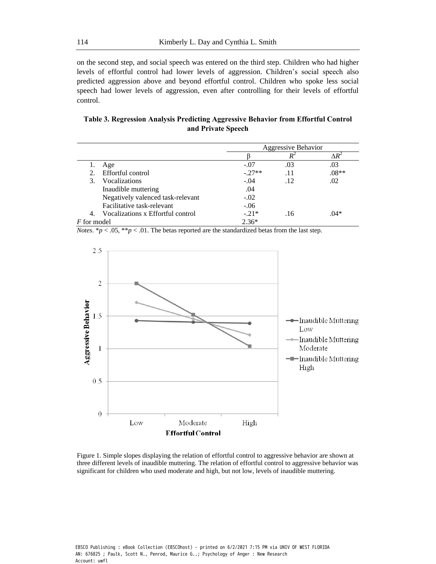on the second step, and social speech was entered on the third step. Children who had higher levels of effortful control had lower levels of aggression. Children's social speech also predicted aggression above and beyond effortful control. Children who spoke less social speech had lower levels of aggression, even after controlling for their levels of effortful control.

| Table 3. Regression Analysis Predicting Aggressive Behavior from Effortful Control |  |
|------------------------------------------------------------------------------------|--|
| and Private Speech                                                                 |  |

|                    |                                   | Aggressive Behavior |     |         |
|--------------------|-----------------------------------|---------------------|-----|---------|
|                    |                                   |                     |     |         |
|                    | Age                               | $-.07$              | .03 | .03     |
| $2_{1}$            | Effortful control                 | $-.27**$            | .11 | $.08**$ |
| 3.                 | Vocalizations                     | $-.04$              | .12 | .02     |
|                    | Inaudible muttering               | .04                 |     |         |
|                    | Negatively valenced task-relevant | $-.02$              |     |         |
|                    | Facilitative task-relevant        | $-.06$              |     |         |
| 4.                 | Vocalizations x Effortful control | $-.21*$             | .16 | $.04*$  |
| <i>F</i> for model |                                   | $2.36*$             |     |         |

*Notes*. \**p* < .05, \*\**p* < .01. The betas reported are the standardized betas from the last step.



Figure 1. Simple slopes displaying the relation of effortful control to aggressive behavior are shown at three different levels of inaudible muttering. The relation of effortful control to aggressive behavior was significant for children who used moderate and high, but not low, levels of inaudible muttering.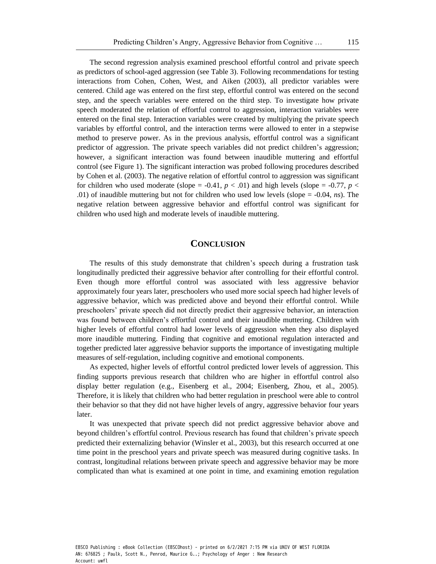The second regression analysis examined preschool effortful control and private speech as predictors of school-aged aggression (see Table 3). Following recommendations for testing interactions from Cohen, Cohen, West, and Aiken (2003), all predictor variables were centered. Child age was entered on the first step, effortful control was entered on the second step, and the speech variables were entered on the third step. To investigate how private speech moderated the relation of effortful control to aggression, interaction variables were entered on the final step. Interaction variables were created by multiplying the private speech variables by effortful control, and the interaction terms were allowed to enter in a stepwise method to preserve power. As in the previous analysis, effortful control was a significant predictor of aggression. The private speech variables did not predict children's aggression; however, a significant interaction was found between inaudible muttering and effortful control (see Figure 1). The significant interaction was probed following procedures described by Cohen et al. (2003). The negative relation of effortful control to aggression was significant for children who used moderate (slope =  $-0.41$ ,  $p < .01$ ) and high levels (slope =  $-0.77$ ,  $p <$ .01) of inaudible muttering but not for children who used low levels (slope = -0.04, *ns*). The negative relation between aggressive behavior and effortful control was significant for children who used high and moderate levels of inaudible muttering.

# **CONCLUSION**

The results of this study demonstrate that children's speech during a frustration task longitudinally predicted their aggressive behavior after controlling for their effortful control. Even though more effortful control was associated with less aggressive behavior approximately four years later, preschoolers who used more social speech had higher levels of aggressive behavior, which was predicted above and beyond their effortful control. While preschoolers' private speech did not directly predict their aggressive behavior, an interaction was found between children's effortful control and their inaudible muttering. Children with higher levels of effortful control had lower levels of aggression when they also displayed more inaudible muttering. Finding that cognitive and emotional regulation interacted and together predicted later aggressive behavior supports the importance of investigating multiple measures of self-regulation, including cognitive and emotional components.

As expected, higher levels of effortful control predicted lower levels of aggression. This finding supports previous research that children who are higher in effortful control also display better regulation (e.g., Eisenberg et al., 2004; Eisenberg, Zhou, et al., 2005). Therefore, it is likely that children who had better regulation in preschool were able to control their behavior so that they did not have higher levels of angry, aggressive behavior four years later.

It was unexpected that private speech did not predict aggressive behavior above and beyond children's effortful control. Previous research has found that children's private speech predicted their externalizing behavior (Winsler et al., 2003), but this research occurred at one time point in the preschool years and private speech was measured during cognitive tasks. In contrast, longitudinal relations between private speech and aggressive behavior may be more complicated than what is examined at one point in time, and examining emotion regulation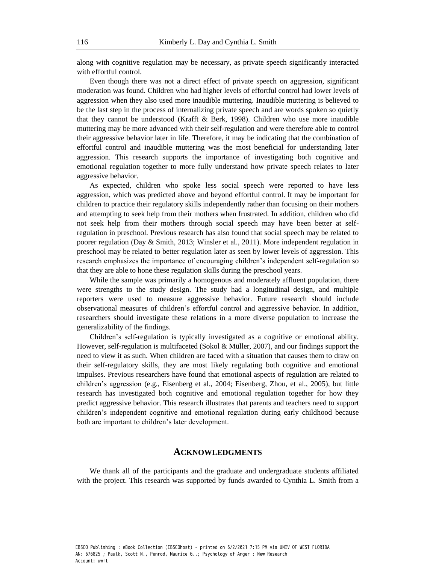along with cognitive regulation may be necessary, as private speech significantly interacted with effortful control.

Even though there was not a direct effect of private speech on aggression, significant moderation was found. Children who had higher levels of effortful control had lower levels of aggression when they also used more inaudible muttering. Inaudible muttering is believed to be the last step in the process of internalizing private speech and are words spoken so quietly that they cannot be understood (Krafft & Berk, 1998). Children who use more inaudible muttering may be more advanced with their self-regulation and were therefore able to control their aggressive behavior later in life. Therefore, it may be indicating that the combination of effortful control and inaudible muttering was the most beneficial for understanding later aggression. This research supports the importance of investigating both cognitive and emotional regulation together to more fully understand how private speech relates to later aggressive behavior.

As expected, children who spoke less social speech were reported to have less aggression, which was predicted above and beyond effortful control. It may be important for children to practice their regulatory skills independently rather than focusing on their mothers and attempting to seek help from their mothers when frustrated. In addition, children who did not seek help from their mothers through social speech may have been better at selfregulation in preschool. Previous research has also found that social speech may be related to poorer regulation (Day & Smith, 2013; Winsler et al., 2011). More independent regulation in preschool may be related to better regulation later as seen by lower levels of aggression. This research emphasizes the importance of encouraging children's independent self-regulation so that they are able to hone these regulation skills during the preschool years.

While the sample was primarily a homogenous and moderately affluent population, there were strengths to the study design. The study had a longitudinal design, and multiple reporters were used to measure aggressive behavior. Future research should include observational measures of children's effortful control and aggressive behavior. In addition, researchers should investigate these relations in a more diverse population to increase the generalizability of the findings.

Children's self-regulation is typically investigated as a cognitive or emotional ability. However, self-regulation is multifaceted (Sokol & Müller, 2007), and our findings support the need to view it as such. When children are faced with a situation that causes them to draw on their self-regulatory skills, they are most likely regulating both cognitive and emotional impulses. Previous researchers have found that emotional aspects of regulation are related to children's aggression (e.g., Eisenberg et al., 2004; Eisenberg, Zhou, et al., 2005), but little research has investigated both cognitive and emotional regulation together for how they predict aggressive behavior. This research illustrates that parents and teachers need to support children's independent cognitive and emotional regulation during early childhood because both are important to children's later development.

## **ACKNOWLEDGMENTS**

We thank all of the participants and the graduate and undergraduate students affiliated with the project. This research was supported by funds awarded to Cynthia L. Smith from a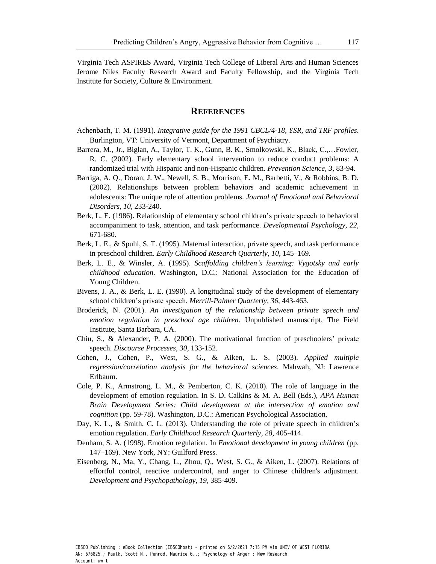Virginia Tech ASPIRES Award, Virginia Tech College of Liberal Arts and Human Sciences Jerome Niles Faculty Research Award and Faculty Fellowship, and the Virginia Tech Institute for Society, Culture & Environment.

## **REFERENCES**

- Achenbach, T. M. (1991). *Integrative guide for the 1991 CBCL/4-18, YSR, and TRF profiles*. Burlington, VT: University of Vermont, Department of Psychiatry.
- Barrera, M., Jr., Biglan, A., Taylor, T. K., Gunn, B. K., Smolkowski, K., Black, C.,…Fowler, R. C. (2002). Early elementary school intervention to reduce conduct problems: A randomized trial with Hispanic and non-Hispanic children. *Prevention Science, 3*, 83-94.
- Barriga, A. Q., Doran, J. W., Newell, S. B., Morrison, E. M., Barbetti, V., & Robbins, B. D. (2002). Relationships between problem behaviors and academic achievement in adolescents: The unique role of attention problems. *Journal of Emotional and Behavioral Disorders, 10*, 233-240.
- Berk, L. E. (1986). Relationship of elementary school children's private speech to behavioral accompaniment to task, attention, and task performance. *Developmental Psychology*, *22*, 671-680.
- Berk, L. E., & Spuhl, S. T. (1995). Maternal interaction, private speech, and task performance in preschool children. *Early Childhood Research Quarterly*, *10*, 145–169.
- Berk, L. E., & Winsler, A. (1995). *Scaffolding children's learning: Vygotsky and early childhood education*. Washington, D.C.: National Association for the Education of Young Children.
- Bivens, J. A., & Berk, L. E. (1990). A longitudinal study of the development of elementary school children's private speech. *Merrill-Palmer Quarterly*, *36*, 443-463.
- Broderick, N. (2001). *An investigation of the relationship between private speech and emotion regulation in preschool age children*. Unpublished manuscript, The Field Institute, Santa Barbara, CA.
- Chiu, S., & Alexander, P. A. (2000). The motivational function of preschoolers' private speech. *Discourse Processes*, *30*, 133-152.
- Cohen, J., Cohen, P., West, S. G., & Aiken, L. S. (2003). *Applied multiple regression/correlation analysis for the behavioral sciences*. Mahwah, NJ: Lawrence Erlbaum.
- Cole, P. K., Armstrong, L. M., & Pemberton, C. K. (2010). The role of language in the development of emotion regulation. In S. D. Calkins & M. A. Bell (Eds.), *APA Human Brain Development Series: Child development at the intersection of emotion and cognition* (pp. 59-78). Washington, D.C.: American Psychological Association.
- Day, K. L., & Smith, C. L. (2013). Understanding the role of private speech in children's emotion regulation. *Early Childhood Research Quarterly, 28,* 405-414.
- Denham, S. A. (1998). Emotion regulation. In *Emotional development in young children* (pp. 147–169). New York, NY: Guilford Press.
- Eisenberg, N., Ma, Y., Chang, L., Zhou, Q., West, S. G., & Aiken, L. (2007). Relations of effortful control, reactive undercontrol, and anger to Chinese children's adjustment. *Development and Psychopathology, 19*, 385-409.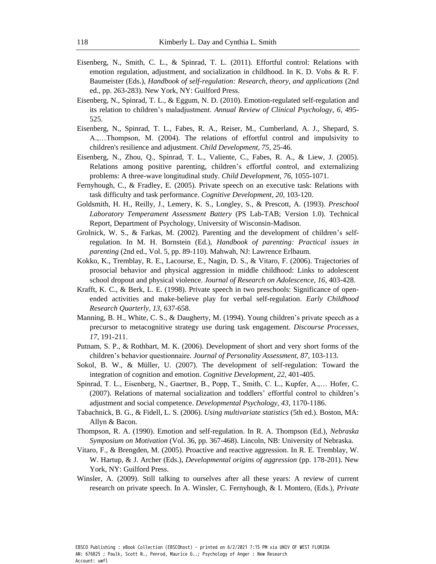- Eisenberg, N., Smith, C. L., & Spinrad, T. L. (2011). Effortful control: Relations with emotion regulation, adjustment, and socialization in childhood. In K. D. Vohs & R. F. Baumeister (Eds.), *Handbook of self-regulation: Research, theory, and applications* (2nd ed., pp. 263-283). New York, NY: Guilford Press.
- Eisenberg, N., Spinrad, T. L., & Eggum, N. D. (2010). Emotion-regulated self-regulation and its relation to children's maladjustment. *Annual Review of Clinical Psychology, 6,* 495- 525.
- Eisenberg, N., Spinrad, T. L., Fabes, R. A., Reiser, M., Cumberland, A. J., Shepard, S. A.,…Thompson, M. (2004). The relations of effortful control and impulsivity to children's resilience and adjustment. *Child Development, 75*, 25-46.
- Eisenberg, N., Zhou, Q., Spinrad, T. L., Valiente, C., Fabes, R. A., & Liew, J. (2005). Relations among positive parenting, children's effortful control, and externalizing problems: A three-wave longitudinal study. *Child Development*, *76*, 1055-1071.
- Fernyhough, C., & Fradley, E. (2005). Private speech on an executive task: Relations with task difficulty and task performance. *Cognitive Development*, *20*, 103-120.
- Goldsmith, H. H., Reilly, J., Lemery, K. S., Longley, S., & Prescott, A. (1993). *Preschool Laboratory Temperament Assessment Battery* (PS Lab-TAB; Version 1.0). Technical Report, Department of Psychology, University of Wisconsin-Madison.
- Grolnick, W. S., & Farkas, M. (2002). Parenting and the development of children's selfregulation. In M. H. Bornstein (Ed.), *Handbook of parenting: Practical issues in parenting* (2nd ed., Vol. 5, pp. 89-110). Mahwah, NJ: Lawrence Erlbaum.
- Kokko, K., Tremblay, R. E., Lacourse, E., Nagin, D. S., & Vitaro, F. (2006). Trajectories of prosocial behavior and physical aggression in middle childhood: Links to adolescent school dropout and physical violence. *Journal of Research on Adolescence, 16*, 403-428.
- Krafft, K. C., & Berk, L. E. (1998). Private speech in two preschools: Significance of openended activities and make-believe play for verbal self-regulation. *Early Childhood Research Quarterly*, *13*, 637-658.
- Manning, B. H., White, C. S., & Daugherty, M. (1994). Young children's private speech as a precursor to metacognitive strategy use during task engagement. *Discourse Processes*, *17*, 191-211.
- Putnam, S. P., & Rothbart, M. K. (2006). Development of short and very short forms of the children's behavior questionnaire. *Journal of Personality Assessment*, *87*, 103-113.
- Sokol, B. W., & Müller, U. (2007). The development of self-regulation: Toward the integration of cognition and emotion. *Cognitive Development*, *22*, 401-405.
- Spinrad, T. L., Eisenberg, N., Gaertner, B., Popp, T., Smith, C. L., Kupfer, A.,… Hofer, C. (2007). Relations of maternal socialization and toddlers' effortful control to children's adjustment and social competence. *Developmental Psychology*, *43*, 1170-1186.
- Tabachnick, B. G., & Fidell, L. S. (2006). *Using multivariate statistics* (5th ed.). Boston, MA: Allyn & Bacon.
- Thompson, R. A. (1990). Emotion and self-regulation. In R. A. Thompson (Ed.), *Nebraska Symposium on Motivation* (Vol. 36, pp. 367-468). Lincoln, NB: University of Nebraska.
- Vitaro, F., & Brengden, M. (2005). Proactive and reactive aggression. In R. E. Tremblay, W. W. Hartup, & J. Archer (Eds.), *Developmental origins of aggression* (pp. 178-201). New York, NY: Guilford Press.
- Winsler, A. (2009). Still talking to ourselves after all these years: A review of current research on private speech. In A. Winsler, C. Fernyhough, & I. Montero, (Eds.), *Private*